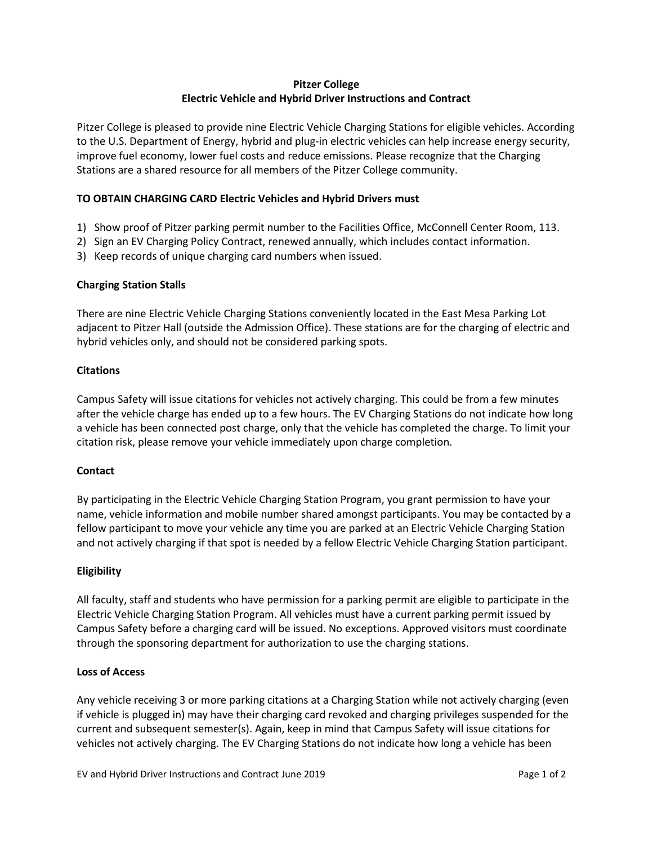# **Pitzer College Electric Vehicle and Hybrid Driver Instructions and Contract**

Pitzer College is pleased to provide nine Electric Vehicle Charging Stations for eligible vehicles. According to the U.S. Department of Energy, hybrid and plug-in electric vehicles can help increase energy security, improve fuel economy, lower fuel costs and reduce emissions. Please recognize that the Charging Stations are a shared resource for all members of the Pitzer College community.

## **TO OBTAIN CHARGING CARD Electric Vehicles and Hybrid Drivers must**

- 1) Show proof of Pitzer parking permit number to the Facilities Office, McConnell Center Room, 113.
- 2) Sign an EV Charging Policy Contract, renewed annually, which includes contact information.
- 3) Keep records of unique charging card numbers when issued.

### **Charging Station Stalls**

There are nine Electric Vehicle Charging Stations conveniently located in the East Mesa Parking Lot adjacent to Pitzer Hall (outside the Admission Office). These stations are for the charging of electric and hybrid vehicles only, and should not be considered parking spots.

### **Citations**

Campus Safety will issue citations for vehicles not actively charging. This could be from a few minutes after the vehicle charge has ended up to a few hours. The EV Charging Stations do not indicate how long a vehicle has been connected post charge, only that the vehicle has completed the charge. To limit your citation risk, please remove your vehicle immediately upon charge completion.

### **Contact**

By participating in the Electric Vehicle Charging Station Program, you grant permission to have your name, vehicle information and mobile number shared amongst participants. You may be contacted by a fellow participant to move your vehicle any time you are parked at an Electric Vehicle Charging Station and not actively charging if that spot is needed by a fellow Electric Vehicle Charging Station participant.

### **Eligibility**

All faculty, staff and students who have permission for a parking permit are eligible to participate in the Electric Vehicle Charging Station Program. All vehicles must have a current parking permit issued by Campus Safety before a charging card will be issued. No exceptions. Approved visitors must coordinate through the sponsoring department for authorization to use the charging stations.

### **Loss of Access**

Any vehicle receiving 3 or more parking citations at a Charging Station while not actively charging (even if vehicle is plugged in) may have their charging card revoked and charging privileges suspended for the current and subsequent semester(s). Again, keep in mind that Campus Safety will issue citations for vehicles not actively charging. The EV Charging Stations do not indicate how long a vehicle has been